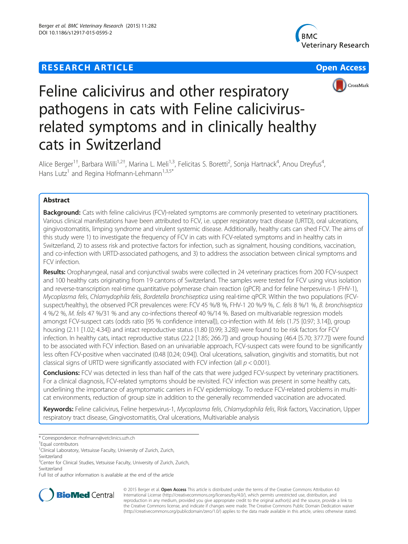# **RESEARCH ARTICLE Example 2008 12 AND 2008 12 AND 2008 12 AND 2008 12 AND 2008 12 AND 2008 12 AND 2008 12 AND 2008 12 AND 2008 12 AND 2008 12 AND 2008 12 AND 2008 12 AND 2008 12 AND 2008 12 AND 2008 12 AND 2008 12 AND 20**







# Feline calicivirus and other respiratory pathogens in cats with Feline calicivirusrelated symptoms and in clinically healthy cats in Switzerland

Alice Berger<sup>1+</sup>, Barbara Willi<sup>1,2†</sup>, Marina L. Meli<sup>1,3</sup>, Felicitas S. Boretti<sup>2</sup>, Sonja Hartnack<sup>4</sup>, Anou Dreyfus<sup>4</sup> , Hans Lutz<sup>1</sup> and Regina Hofmann-Lehmann<sup>1,3,5\*</sup>

# Abstract

Background: Cats with feline calicivirus (FCV)-related symptoms are commonly presented to veterinary practitioners. Various clinical manifestations have been attributed to FCV, i.e. upper respiratory tract disease (URTD), oral ulcerations, gingivostomatitis, limping syndrome and virulent systemic disease. Additionally, healthy cats can shed FCV. The aims of this study were 1) to investigate the frequency of FCV in cats with FCV-related symptoms and in healthy cats in Switzerland, 2) to assess risk and protective factors for infection, such as signalment, housing conditions, vaccination, and co-infection with URTD-associated pathogens, and 3) to address the association between clinical symptoms and FCV infection.

Results: Oropharyngeal, nasal and conjunctival swabs were collected in 24 veterinary practices from 200 FCV-suspect and 100 healthy cats originating from 19 cantons of Switzerland. The samples were tested for FCV using virus isolation and reverse-transcription real-time quantitative polymerase chain reaction (qPCR) and for feline herpesvirus-1 (FHV-1), Mycoplasma felis, Chlamydophila felis, Bordetella bronchiseptica using real-time qPCR. Within the two populations (FCVsuspect/healthy), the observed PCR prevalences were: FCV 45 %/8 %, FHV-1 20 %/9 %, C. felis 8 %/1 %, B. bronchiseptica 4 %/2 %, M. felis 47 %/31 % and any co-infections thereof 40 %/14 %. Based on multivariable regression models amongst FCV-suspect cats (odds ratio [95 % confidence interval]), co-infection with M. felis (1.75 [0.97; 3.14]), group housing (2.11 [1.02; 4.34]) and intact reproductive status (1.80 [0.99; 3.28]) were found to be risk factors for FCV infection. In healthy cats, intact reproductive status (22.2 [1.85; 266.7]) and group housing (46.4 [5.70; 377.7]) were found to be associated with FCV infection. Based on an univariable approach, FCV-suspect cats were found to be significantly less often FCV-positive when vaccinated (0.48 [0.24; 0.94]). Oral ulcerations, salivation, gingivitis and stomatitis, but not classical signs of URTD were significantly associated with FCV infection (all  $p < 0.001$ ).

**Conclusions:** FCV was detected in less than half of the cats that were judged FCV-suspect by veterinary practitioners. For a clinical diagnosis, FCV-related symptoms should be revisited. FCV infection was present in some healthy cats, underlining the importance of asymptomatic carriers in FCV epidemiology. To reduce FCV-related problems in multicat environments, reduction of group size in addition to the generally recommended vaccination are advocated.

Keywords: Feline calicivirus, Feline herpesvirus-1, Mycoplasma felis, Chlamydophila felis, Risk factors, Vaccination, Upper respiratory tract disease, Gingivostomatitis, Oral ulcerations, Multivariable analysis

<sup>+</sup>Fqual contributors

Full list of author information is available at the end of the article



© 2015 Berger et al. Open Access This article is distributed under the terms of the Creative Commons Attribution 4.0 International License [\(http://creativecommons.org/licenses/by/4.0/](http://creativecommons.org/licenses/by/4.0/)), which permits unrestricted use, distribution, and reproduction in any medium, provided you give appropriate credit to the original author(s) and the source, provide a link to the Creative Commons license, and indicate if changes were made. The Creative Commons Public Domain Dedication waiver [\(http://creativecommons.org/publicdomain/zero/1.0/](http://creativecommons.org/publicdomain/zero/1.0/)) applies to the data made available in this article, unless otherwise stated.

<sup>\*</sup> Correspondence: [rhofmann@vetclinics.uzh.ch](mailto:rhofmann@vetclinics.uzh.ch) †

<sup>&</sup>lt;sup>1</sup>Clinical Laboratory, Vetsuisse Faculty, University of Zurich, Zurich,

Switzerland

<sup>&</sup>lt;sup>3</sup>Center for Clinical Studies, Vetsuisse Faculty, University of Zurich, Zurich, Switzerland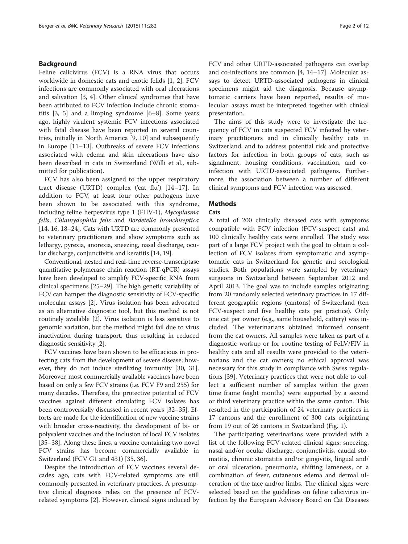#### Background

Feline calicivirus (FCV) is a RNA virus that occurs worldwide in domestic cats and exotic felids [[1, 2](#page-10-0)]. FCV infections are commonly associated with oral ulcerations and salivation [\[3](#page-10-0), [4\]](#page-10-0). Other clinical syndromes that have been attributed to FCV infection include chronic stomatitis [[3, 5](#page-10-0)] and a limping syndrome [[6](#page-10-0)–[8\]](#page-10-0). Some years ago, highly virulent systemic FCV infections associated with fatal disease have been reported in several countries, initially in North America [\[9, 10](#page-10-0)] and subsequently in Europe [\[11](#page-10-0)–[13\]](#page-10-0). Outbreaks of severe FCV infections associated with edema and skin ulcerations have also been described in cats in Switzerland (Willi et al., submitted for publication).

FCV has also been assigned to the upper respiratory tract disease (URTD) complex ('cat flu') [[14](#page-10-0)–[17\]](#page-10-0). In addition to FCV, at least four other pathogens have been shown to be associated with this syndrome, including feline herpesvirus type 1 (FHV-1), Mycoplasma felis, Chlamydophila felis and Bordetella bronchiseptica [[14](#page-10-0), [16, 18](#page-10-0)–[24\]](#page-10-0). Cats with URTD are commonly presented to veterinary practitioners and show symptoms such as lethargy, pyrexia, anorexia, sneezing, nasal discharge, ocular discharge, conjunctivitis and keratitis [\[14, 19](#page-10-0)].

Conventional, nested and real-time reverse-transcriptase quantitative polymerase chain reaction (RT-qPCR) assays have been developed to amplify FCV-specific RNA from clinical specimens [[25](#page-10-0)–[29\]](#page-10-0). The high genetic variability of FCV can hamper the diagnostic sensitivity of FCV-specific molecular assays [\[2\]](#page-10-0). Virus isolation has been advocated as an alternative diagnostic tool, but this method is not routinely available [[2\]](#page-10-0). Virus isolation is less sensitive to genomic variation, but the method might fail due to virus inactivation during transport, thus resulting in reduced diagnostic sensitivity [[2\]](#page-10-0).

FCV vaccines have been shown to be efficacious in protecting cats from the development of severe disease; however, they do not induce sterilizing immunity [[30](#page-10-0), [31](#page-10-0)]. Moreover, most commercially available vaccines have been based on only a few FCV strains (i.e. FCV F9 and 255) for many decades. Therefore, the protective potential of FCV vaccines against different circulating FCV isolates has been controversially discussed in recent years [[32](#page-10-0)–[35\]](#page-10-0). Efforts are made for the identification of new vaccine strains with broader cross-reactivity, the development of bi- or polyvalent vaccines and the inclusion of local FCV isolates [[35](#page-10-0)–[38\]](#page-10-0). Along these lines, a vaccine containing two novel FCV strains has become commercially available in Switzerland (FCV G1 and 431) [\[35](#page-10-0), [36](#page-10-0)].

Despite the introduction of FCV vaccines several decades ago, cats with FCV-related symptoms are still commonly presented in veterinary practices. A presumptive clinical diagnosis relies on the presence of FCVrelated symptoms [[2\]](#page-10-0). However, clinical signs induced by FCV and other URTD-associated pathogens can overlap and co-infections are common [\[4](#page-10-0), [14](#page-10-0)–[17](#page-10-0)]. Molecular assays to detect URTD-associated pathogens in clinical specimens might aid the diagnosis. Because asymptomatic carriers have been reported, results of molecular assays must be interpreted together with clinical presentation.

The aims of this study were to investigate the frequency of FCV in cats suspected FCV infected by veterinary practitioners and in clinically healthy cats in Switzerland, and to address potential risk and protective factors for infection in both groups of cats, such as signalment, housing conditions, vaccination, and coinfection with URTD-associated pathogens. Furthermore, the association between a number of different clinical symptoms and FCV infection was assessed.

# Methods

#### **Cats**

A total of 200 clinically diseased cats with symptoms compatible with FCV infection (FCV-suspect cats) and 100 clinically healthy cats were enrolled. The study was part of a large FCV project with the goal to obtain a collection of FCV isolates from symptomatic and asymptomatic cats in Switzerland for genetic and serological studies. Both populations were sampled by veterinary surgeons in Switzerland between September 2012 and April 2013. The goal was to include samples originating from 20 randomly selected veterinary practices in 17 different geographic regions (cantons) of Switzerland (ten FCV-suspect and five healthy cats per practice). Only one cat per owner (e.g., same household, cattery) was included. The veterinarians obtained informed consent from the cat owners. All samples were taken as part of a diagnostic workup or for routine testing of FeLV/FIV in healthy cats and all results were provided to the veterinarians and the cat owners; no ethical approval was necessary for this study in compliance with Swiss regulations [[39\]](#page-10-0). Veterinary practices that were not able to collect a sufficient number of samples within the given time frame (eight months) were supported by a second or third veterinary practice within the same canton. This resulted in the participation of 24 veterinary practices in 17 cantons and the enrollment of 300 cats originating from 19 out of 26 cantons in Switzerland (Fig. [1](#page-2-0)).

The participating veterinarians were provided with a list of the following FCV-related clinical signs: sneezing, nasal and/or ocular discharge, conjunctivitis, caudal stomatitis, chronic stomatitis and/or gingivitis, lingual and/ or oral ulceration, pneumonia, shifting lameness, or a combination of fever, cutaneous edema and dermal ulceration of the face and/or limbs. The clinical signs were selected based on the guidelines on feline calicivirus infection by the European Advisory Board on Cat Diseases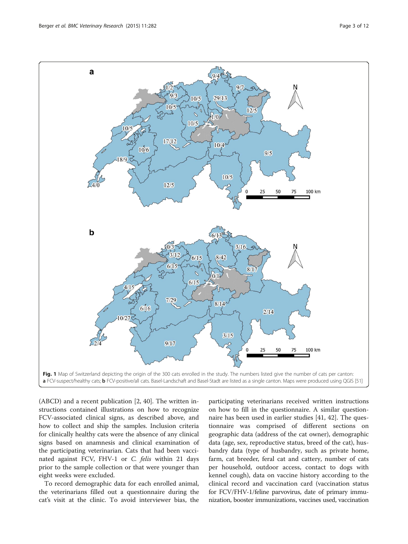<span id="page-2-0"></span>

(ABCD) and a recent publication [\[2](#page-10-0), [40](#page-10-0)]. The written instructions contained illustrations on how to recognize FCV-associated clinical signs, as described above, and how to collect and ship the samples. Inclusion criteria for clinically healthy cats were the absence of any clinical signs based on anamnesis and clinical examination of the participating veterinarian. Cats that had been vaccinated against FCV, FHV-1 or C. felis within 21 days prior to the sample collection or that were younger than eight weeks were excluded.

To record demographic data for each enrolled animal, the veterinarians filled out a questionnaire during the cat's visit at the clinic. To avoid interviewer bias, the participating veterinarians received written instructions on how to fill in the questionnaire. A similar questionnaire has been used in earlier studies [[41](#page-10-0), [42](#page-11-0)]. The questionnaire was comprised of different sections on geographic data (address of the cat owner), demographic data (age, sex, reproductive status, breed of the cat), husbandry data (type of husbandry, such as private home, farm, cat breeder, feral cat and cattery, number of cats per household, outdoor access, contact to dogs with kennel cough), data on vaccine history according to the clinical record and vaccination card (vaccination status for FCV/FHV-1/feline parvovirus, date of primary immunization, booster immunizations, vaccines used, vaccination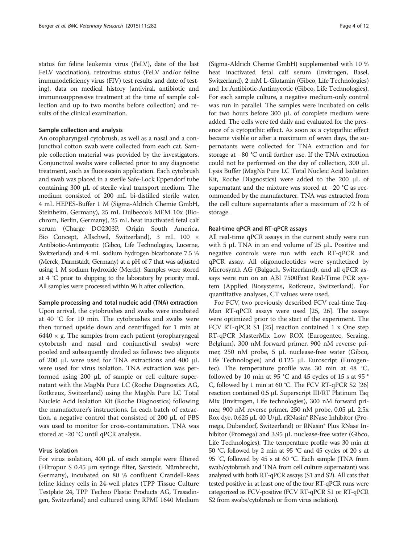status for feline leukemia virus (FeLV), date of the last FeLV vaccination), retrovirus status (FeLV and/or feline immunodeficiency virus (FIV) test results and date of testing), data on medical history (antiviral, antibiotic and immunosuppressive treatment at the time of sample collection and up to two months before collection) and results of the clinical examination.

#### Sample collection and analysis

An oropharyngeal cytobrush, as well as a nasal and a conjunctival cotton swab were collected from each cat. Sample collection material was provided by the investigators. Conjunctival swabs were collected prior to any diagnostic treatment, such as fluorescein application. Each cytobrush and swab was placed in a sterile Safe-Lock Eppendorf tube containing 300 μL of sterile viral transport medium. The medium consisted of 200 mL bi-distilled sterile water, 4 mL HEPES-Buffer 1 M (Sigma-Aldrich Chemie GmbH, Steinheim, Germany), 25 mL Dulbecco's MEM 10x (Biochrom, Berlin, Germany), 25 mL heat inactivated fetal calf serum (Charge DO2303P, Origin South America, Bio Concept, Allschwil, Switzerland), 3 mL 100 × Antibiotic-Antimycotic (Gibco, Life Technologies, Lucerne, Switzerland) and 4 mL sodium hydrogen bicarbonate 7.5 % (Merck, Darmstadt, Germany) at a pH of 7 that was adjusted using 1 M sodium hydroxide (Merck). Samples were stored at 4 °C prior to shipping to the laboratory by priority mail. All samples were processed within 96 h after collection.

#### Sample processing and total nucleic acid (TNA) extraction

Upon arrival, the cytobrushes and swabs were incubated at 40 °C for 10 min. The cytobrushes and swabs were then turned upside down and centrifuged for 1 min at  $6440 \times g$ . The samples from each patient (oropharyngeal cytobrush and nasal and conjunctival swabs) were pooled and subsequently divided as follows: two aliquots of 200 μL were used for TNA extractions and 400 μL were used for virus isolation. TNA extraction was performed using 200 μL of sample or cell culture supernatant with the MagNa Pure LC (Roche Diagnostics AG, Rotkreuz, Switzerland) using the MagNa Pure LC Total Nucleic Acid Isolation Kit (Roche Diagnostics) following the manufacturer's instructions. In each batch of extraction, a negative control that consisted of 200 μL of PBS was used to monitor for cross-contamination. TNA was stored at -20 °C until qPCR analysis.

#### Virus isolation

For virus isolation, 400 μL of each sample were filtered (Filtropur S 0.45 μm syringe filter, Sarstedt, Nümbrecht, Germany), incubated on 80 % confluent Crandell-Rees feline kidney cells in 24-well plates (TPP Tissue Culture Testplate 24, TPP Techno Plastic Products AG, Trasadingen, Switzerland) and cultured using RPMI 1640 Medium

(Sigma-Aldrich Chemie GmbH) supplemented with 10 % heat inactivated fetal calf serum (Invitrogen, Basel, Switzerland), 2 mM L-Glutamin (Gibco, Life Technologies) and 1x Antibiotic-Antimycotic (Gibco, Life Technologies). For each sample culture, a negative medium-only control was run in parallel. The samples were incubated on cells for two hours before 300 μL of complete medium were added. The cells were fed daily and evaluated for the presence of a cytopathic effect. As soon as a cytopathic effect became visible or after a maximum of seven days, the supernatants were collected for TNA extraction and for storage at −80 °C until further use. If the TNA extraction could not be performed on the day of collection, 300 μL Lysis Buffer (MagNa Pure LC Total Nucleic Acid Isolation Kit, Roche Diagnostics) were added to the 200 μL of supernatant and the mixture was stored at −20 °C as recommended by the manufacturer. TNA was extracted from the cell culture supernatants after a maximum of 72 h of storage.

#### Real-time qPCR and RT-qPCR assays

All real-time qPCR assays in the current study were run with 5 μL TNA in an end volume of 25 μL. Positive and negative controls were run with each RT-qPCR and qPCR assay. All oligonucleotides were synthetized by Microsynth AG (Balgach, Switzerland), and all qPCR assays were run on an ABI 7500Fast Real-Time PCR system (Applied Biosystems, Rotkreuz, Switzerland). For quantitative analyses, CT values were used.

For FCV, two previously described FCV real-time Taq-Man RT-qPCR assays were used [[25, 26\]](#page-10-0). The assays were optimized prior to the start of the experiment. The FCV RT-qPCR S1 [[25](#page-10-0)] reaction contained 1 x One step RT-qPCR MasterMix Low ROX (Eurogentec, Seraing, Belgium), 300 nM forward primer, 900 nM reverse primer, 250 nM probe, 5 μL nuclease-free water (Gibco, Life Technologies) and 0.125 μL Euroscript (Eurogentec). The temperature profile was 30 min at 48 °C, followed by 10 min at 95 °C and 45 cycles of 15 s at 95 ° C, followed by 1 min at 60 °C. The FCV RT-qPCR S2 [[26](#page-10-0)] reaction contained 0.5 μL Superscript III/RT Platinum Taq Mix (Invitrogen, Life technologies), 300 nM forward primer, 900 nM reverse primer, 250 nM probe, 0.05 μL 2.5x Rox dye, 0.625 μL 40 U/μL rRNasin® RNase Inhibitor (Promega, Dübendorf, Switzerland) or RNasin® Plus RNase Inhibitor (Promega) and 3.95 μL nuclease-free water (Gibco, Life Technologies). The temperature profile was 30 min at 50 °C, followed by 2 min at 95 °C and 45 cycles of 20 s at 95 °C, followed by 45 s at 60 °C. Each sample (TNA from swab/cytobrush and TNA from cell culture supernatant) was analyzed with both RT-qPCR assays (S1 and S2). All cats that tested positive in at least one of the four RT-qPCR runs were categorized as FCV-positive (FCV RT-qPCR S1 or RT-qPCR S2 from swabs/cytobrush or from virus isolation).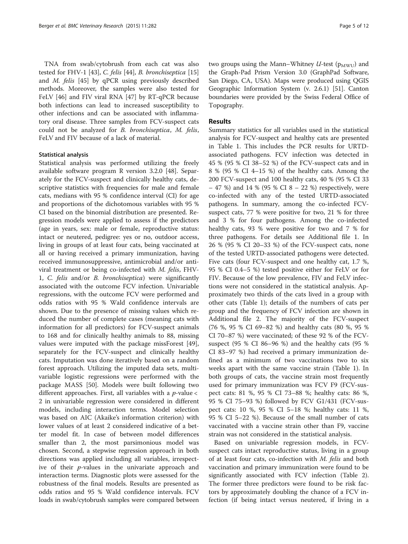TNA from swab/cytobrush from each cat was also tested for FHV-1 [\[43](#page-11-0)], C. felis [[44\]](#page-11-0), B. bronchiseptica [[15](#page-10-0)] and M. felis [[45\]](#page-11-0) by qPCR using previously described methods. Moreover, the samples were also tested for FeLV [[46](#page-11-0)] and FIV viral RNA [\[47](#page-11-0)] by RT-qPCR because both infections can lead to increased susceptibility to other infections and can be associated with inflammatory oral disease. Three samples from FCV-suspect cats could not be analyzed for B. bronchiseptica, M. felis, FeLV and FIV because of a lack of material.

# Statistical analysis

Statistical analysis was performed utilizing the freely available software program R version 3.2.0 [[48\]](#page-11-0). Separately for the FCV-suspect and clinically healthy cats, descriptive statistics with frequencies for male and female cats, medians with 95 % confidence interval (CI) for age and proportions of the dichotomous variables with 95 % CI based on the binomial distribution are presented. Regression models were applied to assess if the predictors (age in years, sex: male or female, reproductive status: intact or neutered, pedigree: yes or no, outdoor access, living in groups of at least four cats, being vaccinated at all or having received a primary immunization, having received immunosuppressive, antimicrobial and/or antiviral treatment or being co-infected with M. felis, FHV-1, C. felis and/or B. bronchiseptica) were significantly associated with the outcome FCV infection. Univariable regressions, with the outcome FCV were performed and odds ratios with 95 % Wald confidence intervals are shown. Due to the presence of missing values which reduced the number of complete cases (meaning cats with information for all predictors) for FCV-suspect animals to 168 and for clinically healthy animals to 88, missing values were imputed with the package missForest [\[49](#page-11-0)], separately for the FCV-suspect and clinically healthy cats. Imputation was done iteratively based on a random forest approach. Utilizing the imputed data sets, multivariable logistic regressions were performed with the package MASS [[50\]](#page-11-0). Models were built following two different approaches. First, all variables with a  $p$ -value  $\lt$ 2 in univariable regression were considered in different models, including interaction terms. Model selection was based on AIC (Akaike's information criterion) with lower values of at least 2 considered indicative of a better model fit. In case of between model differences smaller than 2, the most parsimonious model was chosen. Second, a stepwise regression approach in both directions was applied including all variables, irrespective of their p-values in the univariate approach and interaction terms. Diagnostic plots were assessed for the robustness of the final models. Results are presented as odds ratios and 95 % Wald confidence intervals. FCV loads in swab/cytobrush samples were compared between

two groups using the Mann–Whitney  $U$ -test ( $p_{MWL}$ ) and the Graph-Pad Prism Version 3.0 (GraphPad Software, San Diego, CA, USA). Maps were produced using QGIS Geographic Information System (v. 2.6.1) [[51](#page-11-0)]. Canton boundaries were provided by the Swiss Federal Office of Topography.

# Results

Summary statistics for all variables used in the statistical analysis for FCV-suspect and healthy cats are presented in Table [1.](#page-5-0) This includes the PCR results for URTDassociated pathogens. FCV infection was detected in 45 % (95 % CI 38–52 %) of the FCV-suspect cats and in 8 % (95 % CI 4–15 %) of the healthy cats. Among the 200 FCV-suspect and 100 healthy cats, 40 % (95 % CI 33  $-47$  %) and 14 % (95 % CI 8 – 22 %) respectively, were co-infected with any of the tested URTD-associated pathogens. In summary, among the co-infected FCVsuspect cats, 77 % were positive for two, 21 % for three and 3 % for four pathogens. Among the co-infected healthy cats, 93 % were positive for two and 7 % for three pathogens. For details see Additional file [1](#page-9-0). In 26 % (95 % CI 20–33 %) of the FCV-suspect cats, none of the tested URTD-associated pathogens were detected. Five cats (four FCV-suspect and one healthy cat, 1.7 %, 95 % CI 0.4–5 %) tested positive either for FeLV or for FIV. Because of the low prevalence, FIV and FeLV infections were not considered in the statistical analysis. Approximately two thirds of the cats lived in a group with other cats (Table [1\)](#page-5-0); details of the numbers of cats per group and the frequency of FCV infection are shown in Additional file [2.](#page-9-0) The majority of the FCV-suspect (76 %, 95 % CI 69–82 %) and healthy cats (80 %, 95 % CI 70–87 %) were vaccinated; of these 92 % of the FCVsuspect (95 % CI 86–96 %) and the healthy cats (95 % CI 83–97 %) had received a primary immunization defined as a minimum of two vaccinations two to six weeks apart with the same vaccine strain (Table [1](#page-5-0)). In both groups of cats, the vaccine strain most frequently used for primary immunization was FCV F9 (FCV-suspect cats: 81 %, 95 % CI 73–88 %; healthy cats: 86 %, 95 % CI 75–93 %) followed by FCV G1/431 (FCV-suspect cats: 10 %, 95 % CI 5–18 %; healthy cats: 11 %, 95 % CI 5–22 %). Because of the small number of cats vaccinated with a vaccine strain other than F9, vaccine strain was not considered in the statistical analysis.

Based on univariable regression models, in FCVsuspect cats intact reproductive status, living in a group of at least four cats, co-infection with  $M$ . felis and both vaccination and primary immunization were found to be significantly associated with FCV infection (Table [2](#page-6-0)). The former three predictors were found to be risk factors by approximately doubling the chance of a FCV infection (if being intact versus neutered, if living in a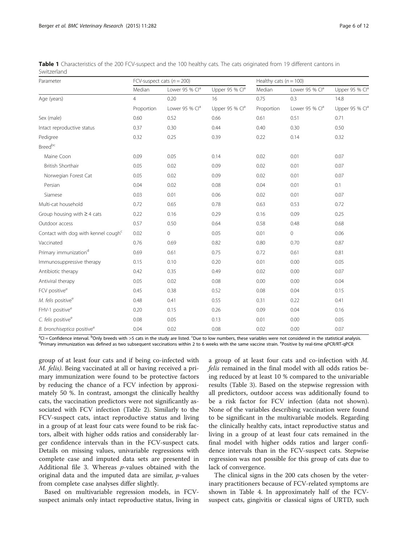<span id="page-5-0"></span>

|             |  |  |  | <b>Table 1</b> Characteristics of the 200 FCV-suspect and the 100 healthy cats. The cats originated from 19 different cantons in |  |
|-------------|--|--|--|----------------------------------------------------------------------------------------------------------------------------------|--|
| Switzerland |  |  |  |                                                                                                                                  |  |

| Parameter                                       |                | FCV-suspect cats $(n = 200)$ |                            | Healthy cats ( $n = 100$ ) |                            |                            |  |
|-------------------------------------------------|----------------|------------------------------|----------------------------|----------------------------|----------------------------|----------------------------|--|
|                                                 | Median         | Lower 95 % Cl <sup>a</sup>   | Upper 95 % Cl <sup>a</sup> | Median                     | Lower 95 % Cl <sup>a</sup> | Upper 95 % Cl <sup>a</sup> |  |
| Age (years)                                     | $\overline{4}$ | 0.20                         | 16                         | 0.75                       | 0.3                        | 14.8                       |  |
|                                                 | Proportion     | Lower 95 % Cl <sup>a</sup>   | Upper 95 % Cl <sup>a</sup> | Proportion                 | Lower 95 % Cl <sup>a</sup> | Upper 95 % Cl <sup>a</sup> |  |
| Sex (male)                                      | 0.60           | 0.52                         | 0.66                       | 0.61                       | 0.51                       | 0.71                       |  |
| Intact reproductive status                      | 0.37           | 0.30                         | 0.44                       | 0.40                       | 0.30                       | 0.50                       |  |
| Pedigree                                        | 0.32           | 0.25                         | 0.39                       | 0.22                       | 0.14                       | 0.32                       |  |
| <b>Breed</b> bc                                 |                |                              |                            |                            |                            |                            |  |
| Maine Coon                                      | 0.09           | 0.05                         | 0.14                       | 0.02                       | 0.01                       | 0.07                       |  |
| British Shorthair                               | 0.05           | 0.02                         | 0.09                       | 0.02                       | 0.01                       | 0.07                       |  |
| Norwegian Forest Cat                            | 0.05           | 0.02                         | 0.09                       | 0.02                       | 0.01                       | 0.07                       |  |
| Persian                                         | 0.04           | 0.02                         | 0.08                       | 0.04                       | 0.01                       | 0.1                        |  |
| Siamese                                         | 0.03           | 0.01                         | 0.06                       | 0.02                       | 0.01                       | 0.07                       |  |
| Multi-cat household                             | 0.72           | 0.65                         | 0.78                       | 0.63                       | 0.53                       | 0.72                       |  |
| Group housing with $\geq 4$ cats                | 0.22           | 0.16                         | 0.29                       | 0.16                       | 0.09                       | 0.25                       |  |
| Outdoor access                                  | 0.57           | 0.50                         | 0.64                       | 0.58                       | 0.48                       | 0.68                       |  |
| Contact with dog with kennel cough <sup>c</sup> | 0.02           | $\mathbf 0$                  | 0.05                       | 0.01                       | $\mathbf 0$                | 0.06                       |  |
| Vaccinated                                      | 0.76           | 0.69                         | 0.82                       | 0.80                       | 0.70                       | 0.87                       |  |
| Primary immunization <sup>d</sup>               | 0.69           | 0.61                         | 0.75                       | 0.72                       | 0.61                       | 0.81                       |  |
| Immunosuppressive therapy                       | 0.15           | 0.10                         | 0.20                       | 0.01                       | 0.00                       | 0.05                       |  |
| Antibiotic therapy                              | 0.42           | 0.35                         | 0.49                       | 0.02                       | 0.00                       | 0.07                       |  |
| Antiviral therapy                               | 0.05           | 0.02                         | 0.08                       | 0.00                       | 0.00                       | 0.04                       |  |
| FCV positive <sup>e</sup>                       | 0.45           | 0.38                         | 0.52                       | 0.08                       | 0.04                       | 0.15                       |  |
| M. felis positive <sup>e</sup>                  | 0.48           | 0.41                         | 0.55                       | 0.31                       | 0.22                       | 0.41                       |  |
| FHV-1 positive <sup>e</sup>                     | 0.20           | 0.15                         | 0.26                       | 0.09                       | 0.04                       | 0.16                       |  |
| C. felis positive <sup>e</sup>                  | 0.08           | 0.05                         | 0.13                       | 0.01                       | 0.00                       | 0.05                       |  |
| B. bronchiseptica positive <sup>e</sup>         | 0.04           | 0.02                         | 0.08                       | 0.02                       | 0.00                       | 0.07                       |  |

<sup>a</sup>CI = Confidence interval. <sup>b</sup>Only breeds with >5 cats in the study are listed. <sup>C</sup>Due to low numbers, these variables were not considered in the statistical analysis.<br><sup>d</sup>Primary immunization was defined as two subsequen Primary immunization was defined as two subsequent vaccinations within 2 to 6 weeks with the same vaccine strain. ePositive by real-time qPCR/RT-qPCR

group of at least four cats and if being co-infected with M. felis). Being vaccinated at all or having received a primary immunization were found to be protective factors by reducing the chance of a FCV infection by approximately 50 %. In contrast, amongst the clinically healthy cats, the vaccination predictors were not significantly associated with FCV infection (Table [2\)](#page-6-0). Similarly to the FCV-suspect cats, intact reproductive status and living in a group of at least four cats were found to be risk factors, albeit with higher odds ratios and considerably larger confidence intervals than in the FCV-suspect cats. Details on missing values, univariable regressions with complete case and imputed data sets are presented in Additional file [3](#page-9-0). Whereas  $p$ -values obtained with the original data and the imputed data are similar,  $p$ -values from complete case analyses differ slightly.

Based on multivariable regression models, in FCVsuspect animals only intact reproductive status, living in a group of at least four cats and co-infection with M. felis remained in the final model with all odds ratios being reduced by at least 10 % compared to the univariable results (Table [3](#page-6-0)). Based on the stepwise regression with all predictors, outdoor access was additionally found to be a risk factor for FCV infection (data not shown). None of the variables describing vaccination were found to be significant in the multivariable models. Regarding the clinically healthy cats, intact reproductive status and living in a group of at least four cats remained in the final model with higher odds ratios and larger confidence intervals than in the FCV-suspect cats. Stepwise regression was not possible for this group of cats due to lack of convergence.

The clinical signs in the 200 cats chosen by the veterinary practitioners because of FCV-related symptoms are shown in Table [4](#page-7-0). In approximately half of the FCVsuspect cats, gingivitis or classical signs of URTD, such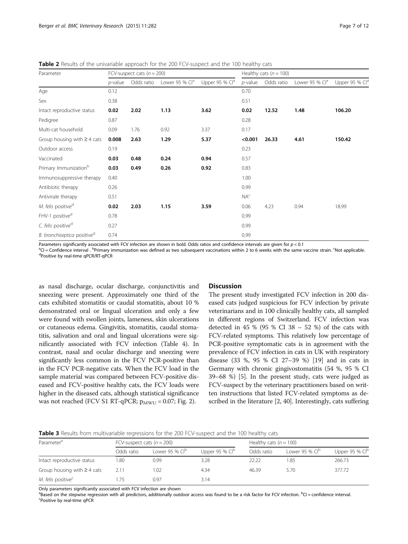| Parameter                               | FCV-suspect cats $(n = 200)$ |            |                            |                  | Healthy cats $(n = 100)$ |            |                  |                            |
|-----------------------------------------|------------------------------|------------|----------------------------|------------------|--------------------------|------------|------------------|----------------------------|
|                                         | $p$ -value                   | Odds ratio | Lower 95 % Cl <sup>a</sup> | Upper 95 % $Cla$ | $p$ -value               | Odds ratio | Lower 95 % $Cla$ | Upper 95 % Cl <sup>a</sup> |
| Age                                     | 0.12                         |            |                            |                  | 0.70                     |            |                  |                            |
| Sex                                     | 0.38                         |            |                            |                  | 0.51                     |            |                  |                            |
| Intact reproductive status              | 0.02                         | 2.02       | 1.13                       | 3.62             | 0.02                     | 12.52      | 1.48             | 106.20                     |
| Pedigree                                | 0.87                         |            |                            |                  | 0.28                     |            |                  |                            |
| Multi-cat household                     | 0.09                         | 1.76       | 0.92                       | 3.37             | 0.17                     |            |                  |                            |
| Group housing with $\geq 4$ cats        | 0.008                        | 2.63       | 1.29                       | 5.37             | < 0.001                  | 26.33      | 4.61             | 150.42                     |
| Outdoor access                          | 0.19                         |            |                            |                  | 0.23                     |            |                  |                            |
| Vaccinated                              | 0.03                         | 0.48       | 0.24                       | 0.94             | 0.57                     |            |                  |                            |
| Primary Immunization <sup>b</sup>       | 0.03                         | 0.49       | 0.26                       | 0.92             | 0.83                     |            |                  |                            |
| Immunosuppressive therapy               | 0.40                         |            |                            |                  | 1.00                     |            |                  |                            |
| Antibiotic therapy                      | 0.26                         |            |                            |                  | 0.99                     |            |                  |                            |
| Antivirale therapy                      | 0.51                         |            |                            |                  | NA <sup>c</sup>          |            |                  |                            |
| M. felis positive <sup>d</sup>          | 0.02                         | 2.03       | 1.15                       | 3.59             | 0.06                     | 4.23       | 0.94             | 18.99                      |
| FHV-1 positive <sup>d</sup>             | 0.78                         |            |                            |                  | 0.99                     |            |                  |                            |
| C. felis positive <sup>d</sup>          | 0.27                         |            |                            |                  | 0.99                     |            |                  |                            |
| B. bronchiseptica positive <sup>d</sup> | 0.74                         |            |                            |                  | 0.99                     |            |                  |                            |

<span id="page-6-0"></span>**Table 2** Results of the univariable approach for the 200 FCV-suspect and the 100 healthy cats

Parameters significantly associated with FCV infection are shown in bold. Odds ratios and confidence intervals are given for  $p < 0.1$ 

<sup>a</sup>CI = Confidence interval . <sup>b</sup>Primary immunization was defined as two subsequent vaccinations within 2 to 6 weeks with the same vaccine strain. <sup>c</sup>Not applicable.<br><sup>d</sup>Positive by real-time gPCP/PT-qPCP Positive by real-time qPCR/RT-qPCR

as nasal discharge, ocular discharge, conjunctivitis and sneezing were present. Approximately one third of the cats exhibited stomatitis or caudal stomatitis, about 10 % demonstrated oral or lingual ulceration and only a few were found with swollen joints, lameness, skin ulcerations or cutaneous edema. Gingivitis, stomatitis, caudal stomatitis, salivation and oral and lingual ulcerations were significantly associated with FCV infection (Table [4\)](#page-7-0). In contrast, nasal and ocular discharge and sneezing were significantly less common in the FCV PCR-positive than in the FCV PCR-negative cats. When the FCV load in the sample material was compared between FCV-positive diseased and FCV-positive healthy cats, the FCV loads were higher in the diseased cats, although statistical significance was not reached (FCV S1 RT-qPCR;  $p_{MWL} = 0.07$ ; Fig. [2\)](#page-8-0).

#### **Discussion**

The present study investigated FCV infection in 200 diseased cats judged suspicious for FCV infection by private veterinarians and in 100 clinically healthy cats, all sampled in different regions of Switzerland. FCV infection was detected in 45 % (95 % CI 38 – 52 %) of the cats with FCV-related symptoms. This relatively low percentage of PCR-positive symptomatic cats is in agreement with the prevalence of FCV infection in cats in UK with respiratory disease (33 %, 95 % CI 27–39 %) [\[19](#page-10-0)] and in cats in Germany with chronic gingivostomatitis (54 %, 95 % CI 39–68 %) [\[5](#page-10-0)]. In the present study, cats were judged as FCV-suspect by the veterinary practitioners based on written instructions that listed FCV-related symptoms as described in the literature [\[2, 40](#page-10-0)]. Interestingly, cats suffering

Table 3 Results from multivariable regressions for the 200 FCV-suspect and the 100 healthy cats

| Parameter <sup>a</sup>           | FCV-suspect cats $(n = 200)$ |                   |                   | Healthy cats $(n = 100)$ |                   |                |  |
|----------------------------------|------------------------------|-------------------|-------------------|--------------------------|-------------------|----------------|--|
|                                  | Odds ratio                   | Lower 95 % $Cl^b$ | Upper 95 % $Cl^b$ | Odds ratio               | Lower 95 % $Cl^b$ | Upper 95 % Clb |  |
| Intact reproductive status       | 1.80                         | 0.99              | 3.28              | 22.22                    | .85               | 266.73         |  |
| Group housing with $\geq 4$ cats | 2.11                         | 1.02              | 4.34              | 46.39                    | 5.70              | 377.72         |  |
| M. felis positive <sup>c</sup>   | 1.75                         | 0.97              | 3.14              |                          |                   |                |  |

Only parameters significantly associated with FCV infection are shown

<sup>a</sup>Based on the stepwise regression with all predictors, additionally outdoor access was found to be a risk factor for FCV infection. <sup>b</sup>Cl = confidence interval.<br><sup>C</sup>Positive by real-time gPCP Positive by real-time qPCR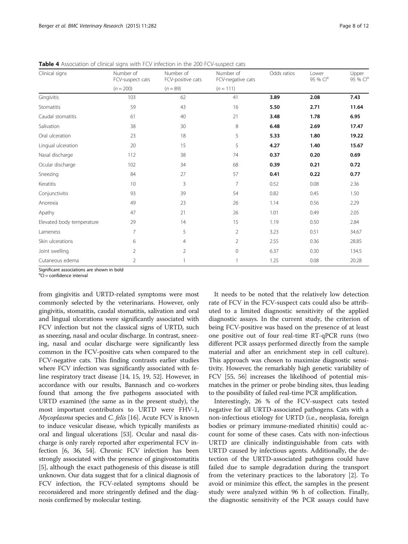| Clinical signs            | Number of<br>FCV-suspect cats | Number of<br>FCV-positive cats | Number of<br>FCV-negative cats | Odds ratios | Lower<br>95 % Cl <sup>a</sup> | Upper<br>95 % Cl <sup>a</sup> |
|---------------------------|-------------------------------|--------------------------------|--------------------------------|-------------|-------------------------------|-------------------------------|
|                           | $(n = 200)$                   | $(n = 89)$                     | $(n = 111)$                    |             |                               |                               |
| Gingivitis                | 103                           | 62                             | 41                             | 3.89        | 2.08                          | 7.43                          |
| Stomatitis                | 59                            | 43                             | 16                             | 5.50        | 2.71                          | 11.64                         |
| Caudal stomatitis         | 61                            | 40                             | 21                             | 3.48        | 1.78                          | 6.95                          |
| Salivation                | 38                            | 30                             | 8                              | 6.48        | 2.69                          | 17.47                         |
| Oral ulceration           | 23                            | 18                             | 5                              | 5.33        | 1.80                          | 19.22                         |
| Lingual ulceration        | 20                            | 15                             | 5                              | 4.27        | 1.40                          | 15.67                         |
| Nasal discharge           | 112                           | 38                             | 74                             | 0.37        | 0.20                          | 0.69                          |
| Ocular discharge          | 102                           | 34                             | 68                             | 0.39        | 0.21                          | 0.72                          |
| Sneezing                  | 84                            | 27                             | 57                             | 0.41        | 0.22                          | 0.77                          |
| Keratitis                 | 10                            | 3                              | $\overline{7}$                 | 0.52        | 0.08                          | 2.36                          |
| Conjunctivitis            | 93                            | 39                             | 54                             | 0.82        | 0.45                          | 1.50                          |
| Anorexia                  | 49                            | 23                             | 26                             | 1.14        | 0.56                          | 2.29                          |
| Apathy                    | 47                            | 21                             | 26                             | 1.01        | 0.49                          | 2.05                          |
| Elevated body temperature | 29                            | 14                             | 15                             | 1.19        | 0.50                          | 2.84                          |
| Lameness                  | 7                             | 5                              | $\overline{2}$                 | 3.23        | 0.51                          | 34.67                         |
| Skin ulcerations          | 6                             | 4                              | $\overline{2}$                 | 2.55        | 0.36                          | 28.85                         |
| Joint swelling            | $\overline{2}$                | $\overline{2}$                 | $\overline{0}$                 | 6.37        | 0.30                          | 134.5                         |
| Cutaneous edema           | 2                             |                                |                                | 1.25        | 0.08                          | 20.28                         |

<span id="page-7-0"></span>Table 4 Association of clinical signs with FCV infection in the 200 FCV-suspect cats

Significant associations are shown in bold

<sup>a</sup>Cl = confidence interval

from gingivitis and URTD-related symptoms were most commonly selected by the veterinarians. However, only gingivitis, stomatitis, caudal stomatitis, salivation and oral and lingual ulcerations were significantly associated with FCV infection but not the classical signs of URTD, such as sneezing, nasal and ocular discharge. In contrast, sneezing, nasal and ocular discharge were significantly less common in the FCV-positive cats when compared to the FCV-negative cats. This finding contrasts earlier studies where FCV infection was significantly associated with feline respiratory tract disease [[14](#page-10-0), [15, 19,](#page-10-0) [52](#page-11-0)]. However, in accordance with our results, Bannasch and co-workers found that among the five pathogens associated with URTD examined (the same as in the present study), the most important contributors to URTD were FHV-1, Mycoplasma species and C. felis [[16](#page-10-0)]. Acute FCV is known to induce vesicular disease, which typically manifests as oral and lingual ulcerations [\[53](#page-11-0)]. Ocular and nasal discharge is only rarely reported after experimental FCV infection [[6](#page-10-0), [36,](#page-10-0) [54\]](#page-11-0). Chronic FCV infection has been strongly associated with the presence of gingivostomatitis [[5\]](#page-10-0), although the exact pathogenesis of this disease is still unknown. Our data suggest that for a clinical diagnosis of FCV infection, the FCV-related symptoms should be reconsidered and more stringently defined and the diagnosis confirmed by molecular testing.

It needs to be noted that the relatively low detection rate of FCV in the FCV-suspect cats could also be attributed to a limited diagnostic sensitivity of the applied diagnostic assays. In the current study, the criterion of being FCV-positive was based on the presence of at least one positive out of four real-time RT-qPCR runs (two different PCR assays performed directly from the sample material and after an enrichment step in cell culture). This approach was chosen to maximize diagnostic sensitivity. However, the remarkably high genetic variability of FCV [\[55, 56](#page-11-0)] increases the likelihood of potential mismatches in the primer or probe binding sites, thus leading to the possibility of failed real-time PCR amplification.

Interestingly, 26 % of the FCV-suspect cats tested negative for all URTD-associated pathogens. Cats with a non-infectious etiology for URTD (i.e., neoplasia, foreign bodies or primary immune-mediated rhinitis) could account for some of these cases. Cats with non-infectious URTD are clinically indistinguishable from cats with URTD caused by infectious agents. Additionally, the detection of the URTD-associated pathogens could have failed due to sample degradation during the transport from the veterinary practices to the laboratory [\[2\]](#page-10-0). To avoid or minimize this effect, the samples in the present study were analyzed within 96 h of collection. Finally, the diagnostic sensitivity of the PCR assays could have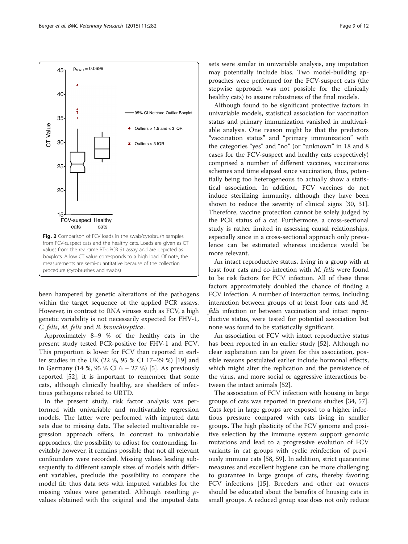<span id="page-8-0"></span>

been hampered by genetic alterations of the pathogens within the target sequence of the applied PCR assays. However, in contrast to RNA viruses such as FCV, a high genetic variability is not necessarily expected for FHV-1, C. felis, M. felis and B. bronchiseptica.

Approximately 8–9 % of the healthy cats in the present study tested PCR-positive for FHV-1 and FCV. This proportion is lower for FCV than reported in earlier studies in the UK (22 %, 95 % CI 17–29 %) [\[19\]](#page-10-0) and in Germany (14 %, 95 % CI 6 – 27 %) [\[5](#page-10-0)]. As previously reported [[52\]](#page-11-0), it is important to remember that some cats, although clinically healthy, are shedders of infectious pathogens related to URTD.

In the present study, risk factor analysis was performed with univariable and multivariable regression models. The latter were performed with imputed data sets due to missing data. The selected multivariable regression approach offers, in contrast to univariable approaches, the possibility to adjust for confounding. Inevitably however, it remains possible that not all relevant confounders were recorded. Missing values leading subsequently to different sample sizes of models with different variables, preclude the possibility to compare the model fit: thus data sets with imputed variables for the missing values were generated. Although resulting *p*values obtained with the original and the imputed data sets were similar in univariable analysis, any imputation may potentially include bias. Two model-building approaches were performed for the FCV-suspect cats (the stepwise approach was not possible for the clinically healthy cats) to assure robustness of the final models.

Although found to be significant protective factors in univariable models, statistical association for vaccination status and primary immunization vanished in multivariable analysis. One reason might be that the predictors "vaccination status" and "primary immunization" with the categories "yes" and "no" (or "unknown" in 18 and 8 cases for the FCV-suspect and healthy cats respectively) comprised a number of different vaccines, vaccinations schemes and time elapsed since vaccination, thus, potentially being too heterogeneous to actually show a statistical association. In addition, FCV vaccines do not induce sterilizing immunity, although they have been shown to reduce the severity of clinical signs [[30, 31](#page-10-0)]. Therefore, vaccine protection cannot be solely judged by the PCR status of a cat. Furthermore, a cross-sectional study is rather limited in assessing causal relationships, especially since in a cross-sectional approach only prevalence can be estimated whereas incidence would be more relevant.

An intact reproductive status, living in a group with at least four cats and co-infection with M. felis were found to be risk factors for FCV infection. All of these three factors approximately doubled the chance of finding a FCV infection. A number of interaction terms, including interaction between groups of at least four cats and M. felis infection or between vaccination and intact reproductive status, were tested for potential association but none was found to be statistically significant.

An association of FCV with intact reproductive status has been reported in an earlier study [\[52\]](#page-11-0). Although no clear explanation can be given for this association, possible reasons postulated earlier include hormonal effects, which might alter the replication and the persistence of the virus, and more social or aggressive interactions between the intact animals [\[52\]](#page-11-0).

The association of FCV infection with housing in large groups of cats was reported in previous studies [\[34,](#page-10-0) [57](#page-11-0)]. Cats kept in large groups are exposed to a higher infectious pressure compared with cats living in smaller groups. The high plasticity of the FCV genome and positive selection by the immune system support genomic mutations and lead to a progressive evolution of FCV variants in cat groups with cyclic reinfection of previously immune cats [[58, 59](#page-11-0)]. In addition, strict quarantine measures and excellent hygiene can be more challenging to guarantee in large groups of cats, thereby favoring FCV infections [[15\]](#page-10-0). Breeders and other cat owners should be educated about the benefits of housing cats in small groups. A reduced group size does not only reduce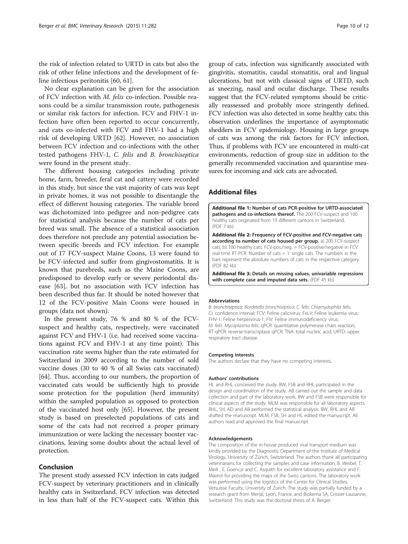<span id="page-9-0"></span>the risk of infection related to URTD in cats but also the risk of other feline infections and the development of feline infectious peritonitis [[60, 61\]](#page-11-0).

No clear explanation can be given for the association of FCV infection with M. felis co-infection. Possible reasons could be a similar transmission route, pathogenesis or similar risk factors for infection. FCV and FHV-1 infection have often been reported to occur concurrently, and cats co-infected with FCV and FHV-1 had a high risk of developing URTD [[62\]](#page-11-0). However, no association between FCV infection and co-infections with the other tested pathogens FHV-1, C. felis and B. bronchiseptica were found in the present study.

The different housing categories including private home, farm, breeder, feral cat and cattery were recorded in this study, but since the vast majority of cats was kept in private homes, it was not possible to disentangle the effect of different housing categories. The variable breed was dichotomized into pedigree and non-pedigree cats for statistical analysis because the number of cats per breed was small. The absence of a statistical association does therefore not preclude any potential association between specific breeds and FCV infection. For example out of 17 FCV-suspect Maine Coons, 13 were found to be FCV-infected and suffer from gingivostomatitis. It is known that purebreds, such as the Maine Coons, are predisposed to develop early or severe periodontal disease [\[63](#page-11-0)], but no association with FCV infection has been described thus far. It should be noted however that 12 of the FCV-positive Main Coons were housed in groups (data not shown).

In the present study, 76 % and 80 % of the FCVsuspect and healthy cats, respectively, were vaccinated against FCV and FHV-1 (i.e. had received some vaccinations against FCV and FHV-1 at any time point). This vaccination rate seems higher than the rate estimated for Switzerland in 2009 according to the number of sold vaccine doses (30 to 40 % of all Swiss cats vaccinated) [[64\]](#page-11-0). Thus, according to our numbers, the proportion of vaccinated cats would be sufficiently high to provide some protection for the population (herd immunity) within the sampled population as opposed to protection of the vaccinated host only [[65\]](#page-11-0). However, the present study is based on preselected populations of cats and some of the cats had not received a proper primary immunization or were lacking the necessary booster vaccinations, leaving some doubts about the actual level of protection.

# Conclusion

The present study assessed FCV infection in cats judged FCV-suspect by veterinary practitioners and in clinically healthy cats in Switzerland. FCV infection was detected in less than half of the FCV-suspect cats. Within this

group of cats, infection was significantly associated with gingivitis, stomatitis, caudal stomatitis, oral and lingual ulcerations, but not with classical signs of URTD, such as sneezing, nasal and ocular discharge. These results suggest that the FCV-related symptoms should be critically reassessed and probably more stringently defined. FCV infection was also detected in some healthy cats; this observation underlines the importance of asymptomatic shedders in FCV epidemiology. Housing in large groups of cats was among the risk factors for FCV infection. Thus, if problems with FCV are encountered in multi-cat environments, reduction of group size in addition to the generally recommended vaccination and quarantine measures for incoming and sick cats are advocated.

# Additional files

[Additional file 1:](dx.doi.org/10.1186/s12917-015-0595-2) Number of cats PCR-positive for URTD-associated pathogens and co-infections thereof. The 200 FCV-suspect and 100 healthy cats originated from 19 different cantons in Switzerland. (PDF 7 kb)

[Additional file 2:](dx.doi.org/10.1186/s12917-015-0595-2) Frequency of FCV-positive and FCV-negative cats according to number of cats housed per group. a) 200 FCV-suspect cats; b) 100 healthy cats. FCV-pos./neg. = FCV-positive/negative in FCV real-time RT-PCR. Number of cats  $= 1$ : single cats. The numbers in the bars represent the absolute numbers of cats in the respective category.  $(PDE 82 k)$ 

[Additional file 3:](dx.doi.org/10.1186/s12917-015-0595-2) Details on missing values, univariable regressions with complete case and imputed data sets. (PDF 45 kb)

#### Abbreviations

B. bronchiseptica: Bordetella bronchiseptica; C. felis: Chlamydophila felis; CI: confidence interval; FCV: Feline calicivirus; FeLV: Feline leukemia virus; FHV-1: Feline herpesvirus-1; FIV: Feline immunodeficiency virus; M. felis: Mycoplasma felis; qPCR: quantitative polymerase chain reaction; RT-qPCR: reverse-transcriptase qPCR; TNA: total nucleic acid; URTD: upper respiratory tract disease.

#### Competing interests

The authors declare that they have no competing interests.

#### Authors' contributions

HL and RHL conceived the study. BW, FSB and RHL participated in the design and coordination of the study. AB carried out the sample and data collection and part of the laboratory work. BW and FSB were responsible for clinical aspects of the study. MLM was responsible for all laboratory aspects. RHL, SH, AD and AB performed the statistical analysis. BW, RHL and AB drafted the manuscript. MLM, FSB, SH and HL edited the manuscript. All authors read and approved the final manuscript.

#### Acknowledgements

The composition of the in-house produced viral transport medium was kindly provided by the Diagnostic Department of the Institute of Medical Virology, University of Zürich, Switzerland. The authors thank all participating veterinarians for collecting the samples and case information, B. Weibel, T. Meili , E. Goenczi and C. Asquith for excellent laboratory assistance and F. Mavrot for providing the maps of the Swiss cantons. The laboratory work was performed using the logistics of the Center for Clinical Studies, Vetsuisse Faculty, University of Zurich. The study was partially funded by a research grant from Merial, Lyon, France, and Biokema SA, Crissier-Lausanne, Switzerland. This study was the doctoral thesis of A. Berger.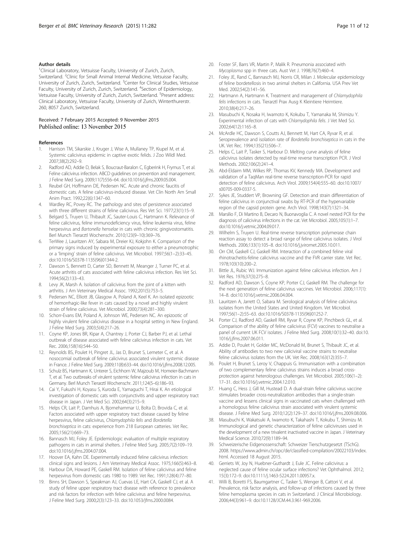#### <span id="page-10-0"></span>Author details

<sup>1</sup>Clinical Laboratory, Vetsuisse Faculty, University of Zurich, Zurich, Switzerland. <sup>2</sup>Clinic for Small Animal Internal Medicine, Vetsuisse Faculty, University of Zurich, Zurich, Switzerland. <sup>3</sup>Center for Clinical Studies, Vetsuisse Faculty, University of Zurich, Zurich, Switzerland. <sup>4</sup>Section of Epidemiology, Vetsuisse Faculty, University of Zurich, Zurich, Switzerland. <sup>5</sup>Present address: Clinical Laboratory, Vetsuisse Faculty, University of Zurich, Winterthurerstr. 260, 8057 Zurich, Switzerland.

#### Received: 7 February 2015 Accepted: 9 November 2015 Published online: 13 November 2015

#### References

- 1. Harrison TM, Sikarskie J, Kruger J, Wise A, Mullaney TP, Kiupel M, et al. Systemic calicivirus epidemic in captive exotic felids. J Zoo Wildl Med. 2007;38(2):292–9.
- 2. Radford AD, Addie D, Belak S, Boucraut-Baralon C, Egberink H, Frymus T, et al. Feline calicivirus infection. ABCD guidelines on prevention and management. J Feline Med Surg. 2009;11(7):556–64. doi[:10.1016/j.jfms.2009.05.004.](http://dx.doi.org/10.1016/j.jfms.2009.05.004)
- 3. Reubel GH, Hoffmann DE, Pedersen NC. Acute and chronic faucitis of domestic cats. A feline calicivirus-induced disease. Vet Clin North Am Small Anim Pract. 1992;22(6):1347–60.
- 4. Wardley RC, Povey RC. The pathology and sites of persistence associated with three different strains of feline calicivirus. Res Vet Sci. 1977;23(1):15–9.
- 5. Belgard S, Truyen U, Thibault JC, Sauter-Louis C, Hartmann K. Relevance of feline calicivirus, feline immunodeficiency virus, feline leukemia virus, feline herpesvirus and Bartonella henselae in cats with chronic gingivostomatitis. Berl Munch Tierarztl Wochenschr. 2010;123(9–10):369–76.
- TerWee J, Lauritzen AY, Sabara M, Dreier KJ, Kokjohn K. Comparison of the primary signs induced by experimental exposure to either a pneumotrophic or a 'limping' strain of feline calicivirus. Vet Microbiol. 1997;56(1–2):33–45. doi[:10.1016/S0378-1135\(96\)01344-2.](http://dx.doi.org/10.1016/S0378-1135(96)01344-2)
- Dawson S, Bennett D, Carter SD, Bennett M, Meanger J, Turner PC, et al. Acute arthritis of cats associated with feline calicivirus infection. Res Vet Sci. 1994;56(2):133–43.
- 8. Levy JK, Marsh A. Isolation of calicivirus from the joint of a kitten with arthritis. J Am Veterinary Medical Assoc. 1992;201(5):753–5.
- 9. Pedersen NC, Elliott JB, Glasgow A, Poland A, Keel K. An isolated epizootic of hemorrhagic-like fever in cats caused by a novel and highly virulent strain of feline calicivirus. Vet Microbiol. 2000;73(4):281–300.
- 10. Schorr-Evans EM, Poland A, Johnson WE, Pedersen NC. An epizootic of highly virulent feline calicivirus disease in a hospital setting in New England. J Feline Med Surg. 2003;5(4):217–26.
- 11. Coyne KP, Jones BR, Kipar A, Chantrey J, Porter CJ, Barber PJ, et al. Lethal outbreak of disease associated with feline calicivirus infection in cats. Vet Rec. 2006;158(16):544–50.
- 12. Reynolds BS, Poulet H, Pingret JL, Jas D, Brunet S, Lemeter C, et al. A nosocomial outbreak of feline calicivirus associated virulent systemic disease in France. J Feline Med Surg. 2009;11(8):633–44. doi:[10.1016/j.jfms.2008.12.005](http://dx.doi.org/10.1016/j.jfms.2008.12.005).
- 13. Schulz BS, Hartmann K, Unterer S, Eichhorn W, Majzoub M, Homeier-Bachmann T, et al. Two outbreaks of virulent systemic feline calicivirus infection in cats in Germany. Berl Munch Tierarztl Wochenschr. 2011;124(5–6):186–93.
- 14. Cai Y, Fukushi H, Koyasu S, Kuroda E, Yamaguchi T, Hirai K. An etiological investigation of domestic cats with conjunctivitis and upper respiratory tract disease in Japan. J Vet Med Sci. 2002;64(3):215–9.
- 15. Helps CR, Lait P, Damhuis A, Bjornehammar U, Bolta D, Brovida C, et al. Factors associated with upper respiratory tract disease caused by feline herpesvirus, feline calicivirus, Chlamydophila felis and Bordetella bronchiseptica in cats: experience from 218 European catteries. Vet Rec. 2005;156(21):669–73.
- 16. Bannasch MJ, Foley JE. Epidemiologic evaluation of multiple respiratory pathogens in cats in animal shelters. J Feline Med Surg. 2005;7(2):109–19. doi[:10.1016/j.jfms.2004.07.004.](http://dx.doi.org/10.1016/j.jfms.2004.07.004)
- 17. Hoover EA, Kahn DE. Experimentally induced feline calicivirus infection: clinical signs and lesions. J Am Veterinary Medical Assoc. 1975;166(5):463–8.
- 18. Harbour DA, Howard PE, Gaskell RM. Isolation of feline calicivirus and feline herpesvirus from domestic cats 1980 to 1989. Vet Rec. 1991;128(4):77–80.
- 19. Binns SH, Dawson S, Speakman AJ, Cuevas LE, Hart CA, Gaskell CJ, et al. A study of feline upper respiratory tract disease with reference to prevalence and risk factors for infection with feline calicivirus and feline herpesvirus. J Feline Med Surg. 2000;2(3):123–33. doi[:10.1053/jfms.2000.0084.](http://dx.doi.org/10.1053/jfms.2000.0084)
- 
- 20. Foster SF, Barrs VR, Martin P, Malik R. Pneumonia associated with Mycoplasma spp in three cats. Aust Vet J. 1998;76(7):460–4.
- 21. Foley JE, Rand C, Bannasch MJ, Norris CR, Milan J. Molecular epidemiology of feline bordetellosis in two animal shelters in California. USA Prev Vet Med. 2002;54(2):141–56.
- 22. Hartmann A, Hartmann K. Treatment and management of Chlamydophila felis infections in cats. Tierarztl Prax Ausg K Kleintiere Heimtiere. 2010;38(4):217–26.
- 23. Masubuchi K, Nosaka H, Iwamoto K, Kokubu T, Yamanaka M, Shimizu Y. Experimental infection of cats with Chlamydophila felis. J Vet Med Sci. 2002;64(12):1165–8.
- 24. McArdle HC, Dawson S, Coutts AJ, Bennett M, Hart CA, Ryvar R, et al. Seroprevalence and isolation rate of Bordetella bronchiseptica in cats in the UK. Vet Rec. 1994;135(21):506–7.
- 25. Helps C, Lait P, Tasker S, Harbour D. Melting curve analysis of feline calicivirus isolates detected by real-time reverse transcription PCR. J Virol Methods. 2002;106(2):241–4.
- 26. Abd-Eldaim MM, Wilkes RP, Thomas KV, Kennedy MA. Development and validation of a TaqMan real-time reverse transcription-PCR for rapid detection of feline calicivirus. Arch Virol. 2009;154(4):555–60. doi[:10.1007/](http://dx.doi.org/10.1007/s00705-009-0337-5) [s00705-009-0337-5.](http://dx.doi.org/10.1007/s00705-009-0337-5)
- 27. Sykes JE, Studdert VP, Browning GF. Detection and strain differentiation of feline calicivirus in conjunctival swabs by RT-PCR of the hypervariable region of the capsid protein gene. Arch Virol. 1998;143(7):1321–34.
- 28. Marsilio F, Di Martino B, Decaro N, Buonavoglia C. A novel nested PCR for the diagnosis of calicivirus infections in the cat. Vet Microbiol. 2005;105(1):1–7. doi:[10.1016/j.vetmic.2004.09.017](http://dx.doi.org/10.1016/j.vetmic.2004.09.017).
- 29. Wilhelm S, Truyen U. Real-time reverse transcription polymerase chain reaction assay to detect a broad range of feline calicivirus isolates. J Virol Methods. 2006;133(1):105–8. doi[:10.1016/j.jviromet.2005.10.011.](http://dx.doi.org/10.1016/j.jviromet.2005.10.011)
- 30. Orr CM, Gaskell CJ, Gaskell RM. Interaction of a combined feline viral rhinotracheitis-feline calicivirus vaccine and the FVR carrier state. Vet Rec. 1978;103(10):200–2.
- 31. Bittle JL, Rubic WJ. Immunization against feline calicivirus infection. Am J Vet Res. 1976;37(3):275–8.
- 32. Radford AD, Dawson S, Coyne KP, Porter CJ, Gaskell RM. The challenge for the next generation of feline calicivirus vaccines. Vet Microbiol. 2006;117(1): 14–8. doi[:10.1016/j.vetmic.2006.04.004](http://dx.doi.org/10.1016/j.vetmic.2006.04.004).
- 33. Lauritzen A, Jarrett O, Sabara M. Serological analysis of feline calicivirus isolates from the United States and United Kingdom. Vet Microbiol. 1997;56(1–2):55–63. doi[:10.1016/S0378-1135\(96\)01252-7](http://dx.doi.org/10.1016/S0378-1135(96)01252-7).
- 34. Porter CJ, Radford AD, Gaskell RM, Ryvar R, Coyne KP, Pinchbeck GL, et al. Comparison of the ability of feline calicivirus (FCV) vaccines to neutralise a panel of current UK FCV isolates. J Feline Med Surg. 2008;10(1):32–40. doi[:10.](http://dx.doi.org/10.1016/j.jfms.2007.06.011) [1016/j.jfms.2007.06.011](http://dx.doi.org/10.1016/j.jfms.2007.06.011).
- 35. Addie D, Poulet H, Golder MC, McDonald M, Brunet S, Thibault JC, et al. Ability of antibodies to two new caliciviral vaccine strains to neutralise feline calicivirus isolates from the UK. Vet Rec. 2008;163(12):355–7.
- 36. Poulet H, Brunet S, Leroy V, Chappuis G. Immunisation with a combination of two complementary feline calicivirus strains induces a broad crossprotection against heterologous challenges. Vet Microbiol. 2005;106(1–2): 17–31. doi:[10.1016/j.vetmic.2004.12.010.](http://dx.doi.org/10.1016/j.vetmic.2004.12.010)
- 37. Huang C, Hess J, Gill M, Hustead D. A dual-strain feline calicivirus vaccine stimulates broader cross-neutralization antibodies than a single-strain vaccine and lessens clinical signs in vaccinated cats when challenged with a homologous feline calicivirus strain associated with virulent systemic disease. J Feline Med Surg. 2010;12(2):129–37. doi:[10.1016/j.jfms.2009.08.006](http://dx.doi.org/10.1016/j.jfms.2009.08.006).
- 38. Masubuchi K, Wakatsuki A, Iwamoto K, Takahashi T, Kokubu T, Shimizu M. Immunological and genetic characterization of feline caliciviruses used in the development of a new trivalent inactivated vaccine in Japan. J Veterinary Medical Science. 2010;72(9):1189–94.
- 39. Schweizerische Eidgenossenschaft: Schweizer Tierschutzgesetzt (TSchG). 2008. [https://www.admin.ch/opc/de/classified-compilation/20022103/index.](https://www.admin.ch/opc/de/classified-compilation/20022103/index.html) [html.](https://www.admin.ch/opc/de/classified-compilation/20022103/index.html) Accessed 18 August 2015.
- 40. Gerriets W, Joy N, Huebner-Guthardt J, Eule JC. Feline calicivirus: a neglected cause of feline ocular surface infections? Vet Ophthalmol. 2012; 15(3):172–9. doi:[10.1111/j.1463-5224.2011.00957.x](http://dx.doi.org/10.1111/j.1463-5224.2011.00957.x).
- 41. Willi B, Boretti FS, Baumgartner C, Tasker S, Wenger B, Cattori V, et al. Prevalence, risk factor analysis, and follow-up of infections caused by three feline hemoplasma species in cats in Switzerland. J Clinical Microbiology. 2006;44(3):961–9. doi:[10.1128/JCM.44.3.961-969.2006.](http://dx.doi.org/10.1128/JCM.44.3.961-969.2006)